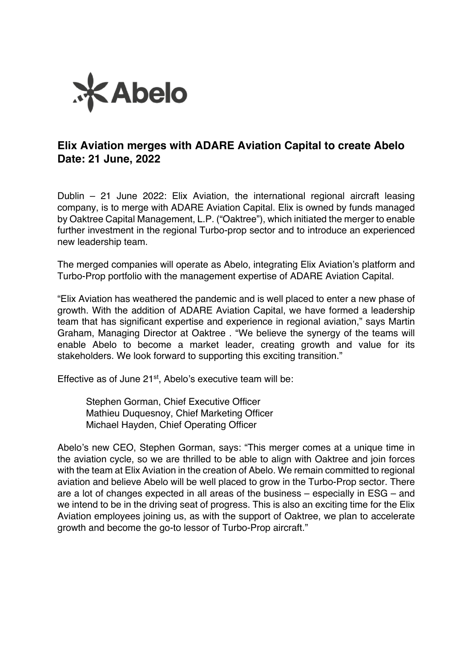

## **Elix Aviation merges with ADARE Aviation Capital to create Abelo Date: 21 June, 2022**

Dublin – 21 June 2022: Elix Aviation, the international regional aircraft leasing company, is to merge with ADARE Aviation Capital. Elix is owned by funds managed by Oaktree Capital Management, L.P. ("Oaktree"), which initiated the merger to enable further investment in the regional Turbo-prop sector and to introduce an experienced new leadership team.

The merged companies will operate as Abelo, integrating Elix Aviation's platform and Turbo-Prop portfolio with the management expertise of ADARE Aviation Capital.

"Elix Aviation has weathered the pandemic and is well placed to enter a new phase of growth. With the addition of ADARE Aviation Capital, we have formed a leadership team that has significant expertise and experience in regional aviation," says Martin Graham, Managing Director at Oaktree . "We believe the synergy of the teams will enable Abelo to become a market leader, creating growth and value for its stakeholders. We look forward to supporting this exciting transition."

Effective as of June 21<sup>st</sup>, Abelo's executive team will be:

Stephen Gorman, Chief Executive Officer Mathieu Duquesnoy, Chief Marketing Officer Michael Hayden, Chief Operating Officer

Abelo's new CEO, Stephen Gorman, says: "This merger comes at a unique time in the aviation cycle, so we are thrilled to be able to align with Oaktree and join forces with the team at Elix Aviation in the creation of Abelo. We remain committed to regional aviation and believe Abelo will be well placed to grow in the Turbo-Prop sector. There are a lot of changes expected in all areas of the business – especially in ESG – and we intend to be in the driving seat of progress. This is also an exciting time for the Elix Aviation employees joining us, as with the support of Oaktree, we plan to accelerate growth and become the go-to lessor of Turbo-Prop aircraft."